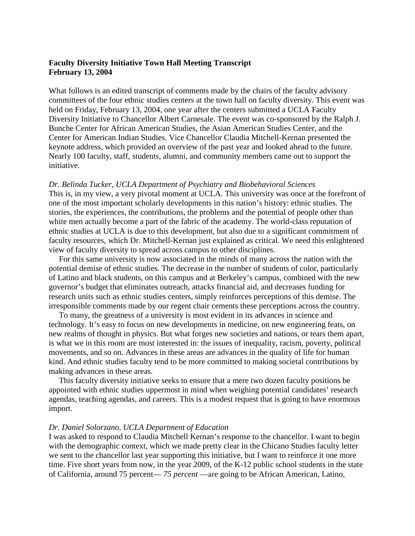# **Faculty Diversity Initiative Town Hall Meeting Transcript February 13, 2004**

What follows is an edited transcript of comments made by the chairs of the faculty advisory committees of the four ethnic studies centers at the town hall on faculty diversity. This event was held on Friday, February 13, 2004, one year after the centers submitted a UCLA Faculty Diversity Initiative to Chancellor Albert Carnesale. The event was co-sponsored by the Ralph J. Bunche Center for African American Studies, the Asian American Studies Center, and the Center for American Indian Studies. Vice Chancellor Claudia Mitchell-Kernan presented the keynote address, which provided an overview of the past year and looked ahead to the future. Nearly 100 faculty, staff, students, alumni, and community members came out to support the initiative.

### *Dr. Belinda Tucker, UCLA Department of Psychiatry and Biobehavioral Sciences*

This is, in my view, a very pivotal moment at UCLA. This university was once at the forefront of one of the most important scholarly developments in this nation's history: ethnic studies. The stories, the experiences, the contributions, the problems and the potential of people other than white men actually become a part of the fabric of the academy. The world-class reputation of ethnic studies at UCLA is due to this development, but also due to a significant commitment of faculty resources, which Dr. Mitchell-Kernan just explained as critical. We need this enlightened view of faculty diversity to spread across campus to other disciplines.

 For this same university is now associated in the minds of many across the nation with the potential demise of ethnic studies. The decrease in the number of students of color, particularly of Latino and black students, on this campus and at Berkeley's campus, combined with the new governor's budget that eliminates outreach, attacks financial aid, and decreases funding for research units such as ethnic studies centers, simply reinforces perceptions of this demise. The irresponsible comments made by our regent chair cements these perceptions across the country.

 To many, the greatness of a university is most evident in its advances in science and technology. It's easy to focus on new developments in medicine, on new engineering feats, on new realms of thought in physics. But what forges new societies and nations, or tears them apart, is what we in this room are most interested in: the issues of inequality, racism, poverty, political movements, and so on. Advances in these areas are advances in the quality of life for human kind. And ethnic studies faculty tend to be more committed to making societal contributions by making advances in these areas.

 This faculty diversity initiative seeks to ensure that a mere two dozen faculty positions be appointed with ethnic studies uppermost in mind when weighing potential candidates' research agendas, teaching agendas, and careers. This is a modest request that is going to have enormous import.

### *Dr. Daniel Solorzano, UCLA Department of Education*

I was asked to respond to Claudia Mitchell Kernan's response to the chancellor. I want to begin with the demographic context, which we made pretty clear in the Chicano Studies faculty letter we sent to the chancellor last year supporting this initiative, but I want to reinforce it one more time. Five short years from now, in the year 2009, of the K-12 public school students in the state of California, around 75 percent— *75 percent* —are going to be African American, Latino,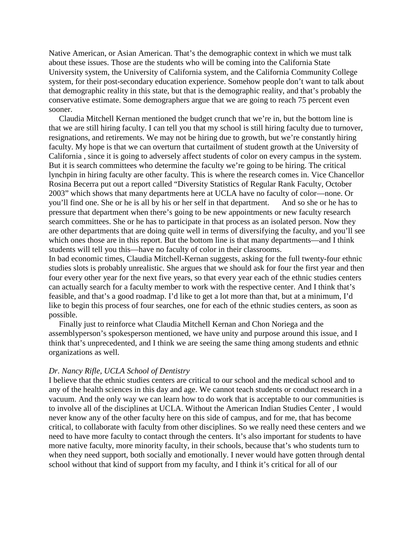Native American, or Asian American. That's the demographic context in which we must talk about these issues. Those are the students who will be coming into the California State University system, the University of California system, and the California Community College system, for their post-secondary education experience. Somehow people don't want to talk about that demographic reality in this state, but that is the demographic reality, and that's probably the conservative estimate. Some demographers argue that we are going to reach 75 percent even sooner.

 Claudia Mitchell Kernan mentioned the budget crunch that we're in, but the bottom line is that we are still hiring faculty. I can tell you that my school is still hiring faculty due to turnover, resignations, and retirements. We may not be hiring due to growth, but we're constantly hiring faculty. My hope is that we can overturn that curtailment of student growth at the University of California , since it is going to adversely affect students of color on every campus in the system. But it is search committees who determine the faculty we're going to be hiring. The critical lynchpin in hiring faculty are other faculty. This is where the research comes in. Vice Chancellor Rosina Becerra put out a report called "Diversity Statistics of Regular Rank Faculty, October 2003" which shows that many departments here at UCLA have no faculty of color—none. Or you'll find one. She or he is all by his or her self in that department. And so she or he has to pressure that department when there's going to be new appointments or new faculty research search committees. She or he has to participate in that process as an isolated person. Now they are other departments that are doing quite well in terms of diversifying the faculty, and you'll see which ones those are in this report. But the bottom line is that many departments—and I think students will tell you this—have no faculty of color in their classrooms.

In bad economic times, Claudia Mitchell-Kernan suggests, asking for the full twenty-four ethnic studies slots is probably unrealistic. She argues that we should ask for four the first year and then four every other year for the next five years, so that every year each of the ethnic studies centers can actually search for a faculty member to work with the respective center. And I think that's feasible, and that's a good roadmap. I'd like to get a lot more than that, but at a minimum, I'd like to begin this process of four searches, one for each of the ethnic studies centers, as soon as possible.

 Finally just to reinforce what Claudia Mitchell Kernan and Chon Noriega and the assemblyperson's spokesperson mentioned, we have unity and purpose around this issue, and I think that's unprecedented, and I think we are seeing the same thing among students and ethnic organizations as well.

#### *Dr. Nancy Rifle, UCLA School of Dentistry*

I believe that the ethnic studies centers are critical to our school and the medical school and to any of the health sciences in this day and age. We cannot teach students or conduct research in a vacuum. And the only way we can learn how to do work that is acceptable to our communities is to involve all of the disciplines at UCLA. Without the American Indian Studies Center , I would never know any of the other faculty here on this side of campus, and for me, that has become critical, to collaborate with faculty from other disciplines. So we really need these centers and we need to have more faculty to contact through the centers. It's also important for students to have more native faculty, more minority faculty, in their schools, because that's who students turn to when they need support, both socially and emotionally. I never would have gotten through dental school without that kind of support from my faculty, and I think it's critical for all of our